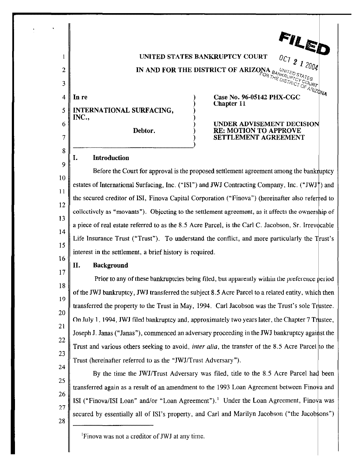

<sup>1</sup> Finova was not a creditor of JWJ at any time.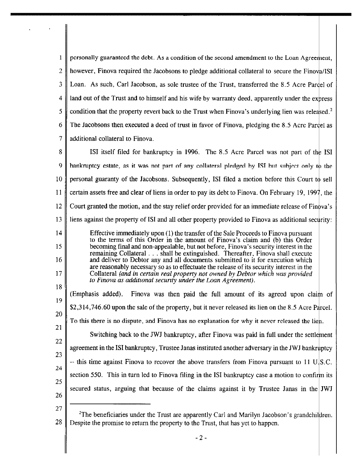$\mathbf{1}$ personally guaranteed the debt. As a condition of the second amendment to the Loan Agreement, 2 || however, Finova required the Jacobsons to pledge additional collateral to secure the Finova/ISI  $3 \parallel$  Loan. As such, Carl Jacobson, as sole trustee of the Trust, transferred the 8.5 Acre Pardel of  $4 \parallel$  land out of the Trust and to himself and his wife by warranty deed, apparently under the express 5 condition that the property revert back to the Trust when Finova's underlying lien was released.<sup>2</sup>  $6 \parallel$  The Jacobsons then executed a deed of trust in favor of Finova, pledging the 8.5 Acre Pardel as 7 || additional collateral to Finova.

8 SI ISI itself filed for bankruptcy in 1996. The 8.5 Acre Parcel was not part of the ISI 9 hankruptcy estate, as it was not part of any collateral pledged by ISI but subject only to the 10 personal guaranty of the Jacobsons. Subsequently, ISI filed a motion before this Court to sell 11 certain assets free and clear of liens in order to pay its debt to Finova. On February 19, 1997, the 12 Court granted the motion, and the stay relief order provided for an immediate release of Finova's 13 is liens against the property of ISI and all other property provided to Finova as additional security:

14 Effective immediately upon  $(1)$  the transfer of the Sale Proceeds to Finova pursuant to the terms of this Order in the amount of Finova's claim and (b) this Order 15 becoming final and non-appealable, but not before, Finova's security interest in the remaining Collateral ... shall be extinguished. Thereafter. Finova shall execute 16 and deliver to Debtor any and all documents submitted to it for execution which are reasonably necessary so as to effectuate the release of its security interest in the 17 Collateral *(and in certain real propeny not owned by Debtor which was provided*  to Finova as additional security under the Loan Agreement).

18 19 20 21 22 23 24 25 26 (Emphasis added). Finova was then paid the full amount of its agreed upon claim of  $$2,314,746.60$  upon the sale of the property, but it never released its lien on the 8.5 Acre P arcel. To this there is no dispute, and Finova has no explanation for why it never released the lien. Switching back to the JWJ bankruptcy, after Finova was paid in full under the settlement agreement in the lSI bankruptcy, Trustee Janas instituted another adversary in the JWJ ba  $-$  this time against Finova to recover the above transfers from Finova pursuant to 11 U.S.C. section 550. This in turn led to Finova filing in the ISI bankruptcy case a motion to confirm its secured status, arguing that because of the claims against it by Trustee Janas in the JWJ

<sup>27</sup>  <sup>2</sup>The beneficiaries under the Trust are apparently Carl and Marilyn Jacobson's grandchildren. 28 Despite the promise to return the property to the Trust, that has yet to happen.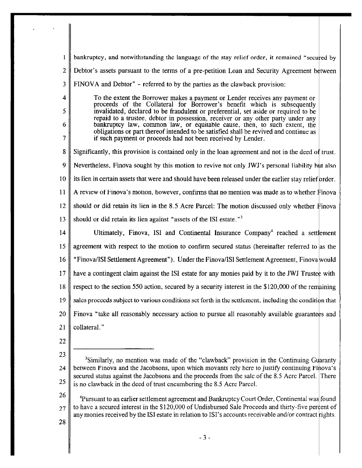$\mathbf{1}$ bankruptcy, and notwithstanding the language of the stay relief order, it remained "secured by  $2 \parallel$  Debtor's assets pursuant to the terms of a pre-petition Loan and Security Agreement between  $3 \parallel$  FINOVA and Debtor" – referred to by the parties as the clawback provision: 4 To the extent the Borrower makes a payment or Lender receives any payment or proceeds of the Collateral for Borrower's benefit which is subsequently 5 invalidated, declared to be fraudulent or preferential, set aside or required to be repaid to a trustee, debtor in possession, receiver or any other party under any 6 bankruptcy law, common law, or equitable cause, then, 10 such extent, the obligations or part thereof intended to be satisfied shall be revived and continue as 7 if such payment or proceeds had not been received by Lender. 8 Significantly, this provision is contained only in the loan agreement and not in the deed of trust.  $9 \parallel$  Nevertheless, Finova sought by this motion to revive not only JWJ's personal liability but also 10 its lien in certain assets that were and should have been released under the earlier stay relief order. 11  $\parallel$  A review of Finova's motion, however, confirms that no mention was made as to whether Finova 12 should or did retain its lien in the 8.5 Acre Parcel: The motion discussed only whether  $\vec{F}$  inova 13 should or did retain its lien against "assets of the ISI estate."<sup>3</sup> 14 Ultimately, Finova, ISI and Continental Insurance Company<sup>4</sup> reached a settlement 15 agreement with respect to the motion to confirm secured status (hereinafter referred to as the 16 | "Finova/ISI Settlement Agreement"). Under the Finova/ISI Settlement Agreement, Finova would 17  $\parallel$  have a contingent claim against the ISI estate for any monies paid by it to the JWJ Trustee with 18 respect to the section 550 action, secured by a security interest in the \$120,000 of the remaining 19  $\parallel$  sales proceeds subject to various conditions set forth in the settlement, including the condition that  $20$  Finova "take all reasonably necessary action to pursue all reasonably available guarantees and 21  $\parallel$  collateral." 22 23 <sup>3</sup>Similarly, no mention was made of the "clawback" provision in the Continuing Guaranty 24 between Finova and the Jacobsons, upon which movants rely here to justify continuing Finova's secured status against the Jacobsons and the proceeds from the sale of the 8.5 Acre Parcel. There 25 is no clawback in the deed of trust encumbering the 8.5 Acre Parcel. 26 <sup>4</sup>Pursuant to an earlier settlement agreement and Bankruptcy Court Order, Continental was found to have a secured interest in the \$120,000 of Undisbursed Sale Proceeds and thirty-five percent of 27 any monies received by the ISI estate in relation to ISI's accounts receivable and/or contract rights.

28

- 3 -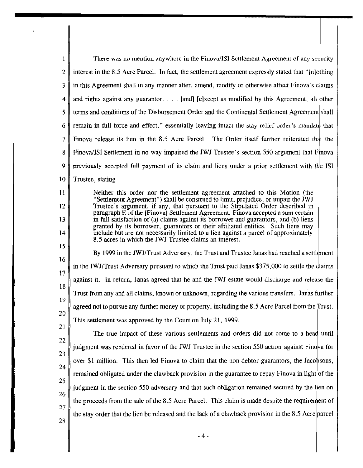| 1  | There was no mention anywhere in the Finova/ISI Settlement Agreement of any sequrity                                                                                      |  |
|----|---------------------------------------------------------------------------------------------------------------------------------------------------------------------------|--|
| 2  | interest in the 8.5 Acre Parcel. In fact, the settlement agreement expressly stated that "[n]othing                                                                       |  |
|    |                                                                                                                                                                           |  |
| 3  | in this Agreement shall in any manner alter, amend, modify or otherwise affect Finova's claims                                                                            |  |
| 4  | and rights against any guarantor. [and] [e]xcept as modified by this Agreement, all other                                                                                 |  |
| 5  | terms and conditions of the Disbursement Order and the Continental Settlement Agreement shall                                                                             |  |
| 6  | remain in full force and effect," essentially leaving intact the stay relief order's mandate that                                                                         |  |
| 7  | Finova release its lien in the 8.5 Acre Parcel. The Order itself further reiterated that the                                                                              |  |
| 8  | Finova/ISI Settlement in no way impaired the JWJ Trustee's section 550 argument that Finova                                                                               |  |
| 9  | previously accepted full payment of its claim and liens under a prior settlement with the ISI                                                                             |  |
| 10 | Trustee, stating                                                                                                                                                          |  |
| 11 | Neither this order nor the settlement agreement attached to this Motion (the<br>"Settlement Agreement") shall be construed to limit, prejudice, or impair the JWJ         |  |
| 12 | Trustee's argument, if any, that pursuant to the Stipulated Order described in<br>paragraph E of the [Finova] Settlement Agreement, Finova accepted a sum certain         |  |
| 13 | in full satisfaction of (a) claims against its borrower and guarantors, and (b) liens<br>granted by its borrower, guarantors or their affiliated entities. Such liens may |  |
| 14 | include but are not necessarily limited to a lien against a parcel of approximately<br>8.5 acres in which the JWJ Trustee claims an interest.                             |  |
| 15 | By 1999 in the JWJ/Trust Adversary, the Trust and Trustee Janas had reached a settlement                                                                                  |  |
| 16 | in the JWJ/Trust Adversary pursuant to which the Trust paid Janas \$375,000 to settle the dlaims                                                                          |  |
| 17 | against it. In return, Janas agreed that he and the JWJ estate would discharge and release the                                                                            |  |
| 18 | Trust from any and all claims, known or unknown, regarding the various transfers. Janas further                                                                           |  |
| 19 | agreed not to pursue any further money or property, including the 8.5 Acre Parcel from the Trust.                                                                         |  |
| 20 | This settlement was approved by the Court on July 21, 1999.                                                                                                               |  |
| 21 | The true impact of these various settlements and orders did not come to a head until                                                                                      |  |
| 22 | judgment was rendered in favor of the JWJ Trustee in the section 550 action against Finova for                                                                            |  |
| 23 | over \$1 million. This then led Finova to claim that the non-debtor guarantors, the Jacobsons,                                                                            |  |
| 24 | remained obligated under the clawback provision in the guarantee to repay Finova in light of the                                                                          |  |
| 25 | judgment in the section 550 adversary and that such obligation remained secured by the lien on                                                                            |  |
| 26 | the proceeds from the sale of the 8.5 Acre Parcel. This claim is made despite the requirement of                                                                          |  |
| 27 | the stay order that the lien be released and the lack of a clawback provision in the 8.5 Acre parcel                                                                      |  |
| 28 |                                                                                                                                                                           |  |
|    | - 4 -                                                                                                                                                                     |  |
|    |                                                                                                                                                                           |  |

 $\label{eq:2} \frac{1}{2} \int_{\mathbb{R}^3} \frac{d^2\mathbf{r}}{|\mathbf{r}|^2} \, \mathrm{d}\mathbf{r} \, \mathrm{d}\mathbf{r} \, \mathrm{d}\mathbf{r} \, \mathrm{d}\mathbf{r} \, \mathrm{d}\mathbf{r} \, \mathrm{d}\mathbf{r} \, \mathrm{d}\mathbf{r} \, \mathrm{d}\mathbf{r} \, \mathrm{d}\mathbf{r} \, \mathrm{d}\mathbf{r} \, \mathrm{d}\mathbf{r} \, \mathrm{d}\mathbf{r} \, \mathrm{d}\mathbf{r} \, \mathrm{d}\mathbf{r} \, \mathrm$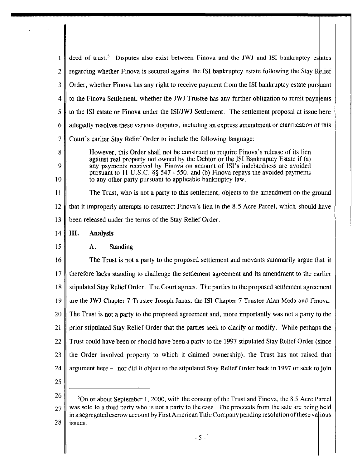| 1  | deed of trust. <sup>5</sup> Disputes also exist between Finova and the JWJ and ISI bankruptcy estates                                                                                                     |  |
|----|-----------------------------------------------------------------------------------------------------------------------------------------------------------------------------------------------------------|--|
| 2  | regarding whether Finova is secured against the ISI bankruptcy estate following the Stay Relief                                                                                                           |  |
| 3  | Order, whether Finova has any right to receive payment from the ISI bankruptcy estate pursuant                                                                                                            |  |
| 4  | to the Finova Settlement, whether the JWJ Trustee has any further obligation to remit payments                                                                                                            |  |
| 5  | to the ISI estate or Finova under the ISI/JWJ Settlement. The settlement proposal at issue here                                                                                                           |  |
| 6  | allegedly resolves these various disputes, including an express amendment or clarification of this                                                                                                        |  |
| 7  | Court's earlier Stay Relief Order to include the following language:                                                                                                                                      |  |
| 8  | However, this Order shall not be construed to require Finova's release of its lien                                                                                                                        |  |
| 9  | against real property not owned by the Debtor or the ISI Bankruptcy Estate if (a)<br>any payments received by Finova on account of ISI's indebtedness are avoided                                         |  |
| 10 | pursuant to 11 U.S.C. §§ 547 - 550, and (b) Finova repays the avoided payments<br>to any other party pursuant to applicable bankruptcy law.                                                               |  |
| 11 | The Trust, who is not a party to this settlement, objects to the amendment on the ground                                                                                                                  |  |
| 12 | that it improperly attempts to resurrect Finova's lien in the 8.5 Acre Parcel, which should have                                                                                                          |  |
| 13 | been released under the terms of the Stay Relief Order.                                                                                                                                                   |  |
| 14 | III.<br><b>Analysis</b>                                                                                                                                                                                   |  |
| 15 | Standing<br>Α.                                                                                                                                                                                            |  |
| 16 | The Trust is not a party to the proposed settlement and movants summarily argue that it                                                                                                                   |  |
| 17 | therefore lacks standing to challenge the settlement agreement and its amendment to the earlier                                                                                                           |  |
|    | 18   stipulated Stay Relief Order. The Court agrees. The parties to the proposed settlement agreement                                                                                                     |  |
| 19 | are the JWJ Chapter 7 Trustee Joseph Janas, the ISI Chapter 7 Trustee Alan Meda and Finova.                                                                                                               |  |
| 20 | The Trust is not a party to the proposed agreement and, more importantly was not a party to the                                                                                                           |  |
| 21 | prior stipulated Stay Relief Order that the parties seek to clarify or modify. While perhaps the                                                                                                          |  |
| 22 | Trust could have been or should have been a party to the 1997 stipulated Stay Relief Order (since                                                                                                         |  |
| 23 | the Order involved property to which it claimed ownership), the Trust has not raised that                                                                                                                 |  |
| 24 | argument here – nor did it object to the stipulated Stay Relief Order back in 1997 or seek to join                                                                                                        |  |
| 25 |                                                                                                                                                                                                           |  |
| 26 | $5$ On or about September 1, 2000, with the consent of the Trust and Finova, the 8.5 Acre Parcel                                                                                                          |  |
| 27 | was sold to a third party who is not a party to the case. The proceeds from the sale are being held<br>in a segregated escrow account by First American Title Company pending resolution of these various |  |

 $28$  | issues.

 $\mathcal{L}_{\text{max}}(\mathcal{F})$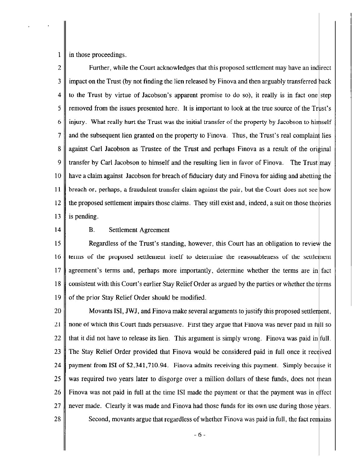in those proceedings.

 $\mathbf{1}$ 

2 Further, while the Court acknowledges that this proposed settlement may have an indirect  $3 \parallel$  impact on the Trust (by not finding the lien released by Finova and then arguably transferred back 4 to the Trust by virtue of Jacobson's apparent promise to do so), it really is in fact one step  $5 \parallel$  removed from the issues presented here. It is important to look at the true source of the Trust's  $6 \parallel$  injury. What really hurt the Trust was the initial transfer of the property by Jacobson to himself 7 || and the subsequent lien granted on the property to Finova. Thus, the Trust's real complaint lies 8 against Carl Jacobson as Trustee of the Trust and perhaps Finova as a result of the original 9 transfer by Carl Jacobson to himself and the resulting lien in favor of Finova. The Trust may  $10 \parallel$  have a claim against Jacobson for breach of fiduciary duty and Finova for aiding and abetting the II breach or, perhaps, a fraudulent transfer claim against the pair, but the Court does not see how 12 the proposed settlement impairs those claims. They still exist and, indeed, a suit on those theories 13 | is pending.

## 14 **B.** Settlement Agreement

15 Regardless of the Trust's standing, however, this Court has an obligation to review the  $16$  terms of the proposed settlement itself to determine the reasonableness of the settlement 17 agreement's terms and, perhaps more importantly, determine whether the terms are in fact 18 consistent with this Court's earlier Stay Relief Order as argued by the parties or whether the terms 19  $\parallel$  of the prior Stay Relief Order should be modified.

20  $\parallel$  Movants ISI, JWJ, and Finova make several arguments to justify this proposed settlement,  $21$  | none of which this Court finds persuasive. First they argue that Finova was never paid in full so 22  $\parallel$  that it did not have to release its lien. This argument is simply wrong. Finova was paid in full. 23  $\parallel$  The Stay Relief Order provided that Finova would be considered paid in full once it received 24 payment from ISI of  $$2,341,710.94$ . Finova admits receiving this payment. Simply because it 25 was required two years later to disgorge over a million dollars of these funds, does not mean 26 Finova was not paid in full at the time ISI made the payment or that the payment was in effect 27  $\parallel$  never made. Clearly it was made and Finova had those funds for its own use during those years.  $28 \parallel$  Second, movants argue that regardless of whether Finova was paid in full, the fact remains

 $-6-$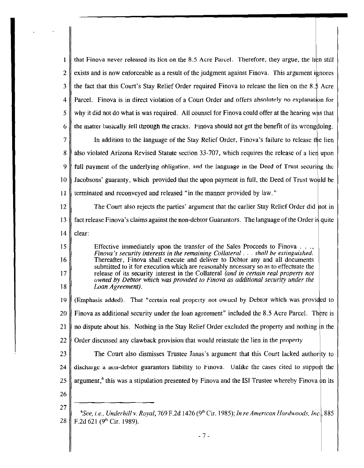| 1              | that Finova never released its licn on the 8.5 Acre Parcel. Therefore, they argue, the lien still                                                                     |
|----------------|-----------------------------------------------------------------------------------------------------------------------------------------------------------------------|
| $\overline{2}$ | exists and is now enforceable as a result of the judgment against Finova. This argument ignores                                                                       |
| 3              | the fact that this Court's Stay Relief Order required Finova to release the lien on the 8.5 Acre                                                                      |
| 4              | Parcel. Finova is in direct violation of a Court Order and offers absolutely no explanation for                                                                       |
| 5              | why it did not do what is was required. All counsel for Finova could offer at the hearing was that                                                                    |
| 6              | the matter basically fell through the cracks. Finova should not get the benefit of its wrong doing.                                                                   |
| 7              | In addition to the language of the Stay Relief Order, Finova's failure to release the lien                                                                            |
| 8              | also violated Arizona Revised Statute section 33-707, which requires the release of a lien upon                                                                       |
| 9              | full payment of the underlying obligation, and the language in the Deed of Trust securing the                                                                         |
| 10             | Jacobsons' guaranty, which provided that the upon payment in full, the Deed of Trust would be                                                                         |
| 11             | terminated and reconveyed and released "in the manner provided by law."                                                                                               |
| 12             | The Court also rejects the parties' argument that the earlier Stay Relief Order did not in                                                                            |
| 13             | fact release Finova's claims against the non-debtor Guarantors. The language of the Order is quite                                                                    |
| 14             | clear:                                                                                                                                                                |
| 15             | Effective immediately upon the transfer of the Sales Proceeds to Finova<br>Finova's security interests in the remaining Collateral shall be extinguished.             |
| 16             | Thereafter, Finova shall execute and deliver to Debtor any and all documents<br>submitted to it for execution which are reasonably necessary so as to effectuate the  |
| 17             | release of its security interest in the Collateral (and in certain real property not<br>owned by Debtor which was provided to Finova as additional security under the |
| 18             | Loan Agreement).                                                                                                                                                      |
| 19             | (Emphasis added). That "certain real property not owned by Debtor which was provided to                                                                               |
| 20             | Finova as additional security under the loan agreement" included the 8.5 Acre Parcel. There is                                                                        |
| 21             | no dispute about his. Nothing in the Stay Relief Order excluded the property and nothing in the                                                                       |
| 22             | Order discussed any clawback provision that would reinstate the lien in the property.                                                                                 |
| 23             | The Court also dismisses Trustee Janas's argument that this Court lacked authority to                                                                                 |
| 24             | discharge a non-debtor guarantors liability to Finova. Unlike the cases cited to support the                                                                          |
| 25             | argument, <sup>6</sup> this was a stipulation presented by Finova and the ISI Trustee whereby Finova on its                                                           |
| 26             |                                                                                                                                                                       |
| 27             | <sup>6</sup> See, i.e., Underhill v. Royal, 769 F.2d 1426 (9 <sup>th</sup> Cir. 1985); In re American Hardwoods, Inc., 885                                            |
| 28             | F.2d 621 (9 <sup>th</sup> Cir. 1989).                                                                                                                                 |
|                |                                                                                                                                                                       |

- 7-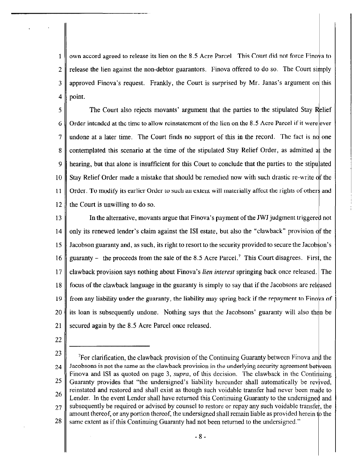own accord agreed to release its lien on the 8.5 Acre Parcel. This Court did not force Finova to  $\mathbf{1}$ 2 release the lien against the non-debtor guarantors. Finova offered to do so. The Court simply  $3 \parallel$  approved Finova's request. Frankly, the Court is surprised by Mr. Janas's argument on this  $4 \parallel$  point.

5 The Court also rejects movants' argument that the parties to the stipulated Stay  $\begin{array}{c} 6 \parallel \text{Order} \end{array}$  order intended at the time to allow reinstatement of the lien on the 8.5 Acre Parcel if it were ever  $7 \parallel$  undone at a later time. The Court finds no support of this in the record. The fact is no one 8 contemplated this scenario at the time of the stipulated Stay Relief Order, as admitted at the 9  $\parallel$  hearing, but that alone is insufficient for this Court to conclude that the parties to the stipulated 10 Stay Relief Order made a mistake that should be remedied now with such drastic re-write of the 11  $\parallel$  Order. To modify its earlier Order to such an extent will materially affect the rights of others and  $12$  the Court is unwilling to do so.

13 In the alternative, movants argue that Finova's payment of the JWJ judgment triggered not 14 only its renewed lender's claim against the ISI estate, but also the "clawback" provision of the 15 Jacobson guaranty and, as such, its right to resort to the security provided to secure the Jacob on's 16 guaranty – the proceeds from the sale of the 8.5 Acre Parcel.<sup>7</sup> This Court disagrees. First, the 17 claw back provision says nothing about Finova's *lien interest* springing back once released. The  $18 \parallel$  focus of the clawback language in the guaranty is simply to say that if the Jacobsons are released 19 from any liability under the guaranty, the liability may spring back if the repayment to Finova of  $20$  its loan is subsequently undone. Nothing says that the Jacobsons' guaranty will also then be 21 secured again by the 8.5 Acre Parcel once released.

- 22
- 23 24 25 26 27 28 <sup>7</sup>For clarification, the clawback provision of the Continuing Guaranty between Finova and the Jacobsons is not the same as the clawback provision in the underlying security agreement between Finova and ISI as quoted on page 3, *supra*, of this decision. The clawback in the Continuing Guaranty provides that "the undersigned's liability hereunder shall automatically be revived, reinstated and restored and shall exist as though such voidable transfer had never been made to Lender. In the event Lender shall have returned this Continuing Guaranty to the undersigned and subsequently be required or advised by counsel to restore or repay any such voidable transfer, the amount thereof, or any portion thereof, the undersigned shall remain liable as provided herein to the same extent as if this Continuing Guaranty had not been returned to the undersigned."
	- 8-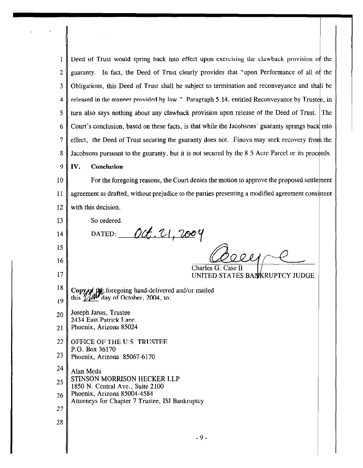1 Deed of Trust would spring back into effect upon exercising the clawback provision of the 2 guaranty. In fact, the Deed of Trust clearly provides that "upon Performance of all of the  $3 \parallel$  Obligations, this Deed of Trust shall be subject to termination and reconveyance and shall be 4 released in the manner provided by law." Paragraph 5.14, entitled Reconveyance by Trustee, in 5 turn also says nothing about any clawback provision upon release of the Deed of Trust. The 6 Court's conclusion, based on these facts, is that while the Jacobsons' guaranty springs back into 7 effect, the Deed of Trust securing the guaranty does not. Finova may seek recovery from the 8 Jacobsons pursuant to the guaranty, but it is not secured by the 8.5 Acre Parcel or its proceeds. 9 || IV. Conclusion  $10 \parallel$  For the foregoing reasons, the Court denies the motion to approve the proposed settlement 11 agreement as drafted, without prejudice to the parties presenting a modified agreement consistent 12 || with this decision. 13 So ordered. DATED:  $Oct. 21, 2004$ 14 15 16 Charles G. Case II 17 UNITED STATES BANKRUPTCY JUDGE <sup>10</sup> Copyof the foregoing hand-delivered and/or mailed  $_{19}$  this  $7/2004$ , to:  $_{20}$  | Joseph Janas, Trustee 2434 East Patrick Lane 21 Phoenix, Arizona 85024 22 OFFICE OF THE U.S. TRUSTEE P.O. Box 36170 23 Phoenix, Arizona 85067-6170  $24$  Alan Meda STINSON MORRISON HECKER LLP 25 1850 N. Central Ave., Suite 2100 Phoenix, Arizona 85004-4584 26 Attorneys for Chapter 7 Trustee, lSI Bankruptcy 27 28 - 9 -